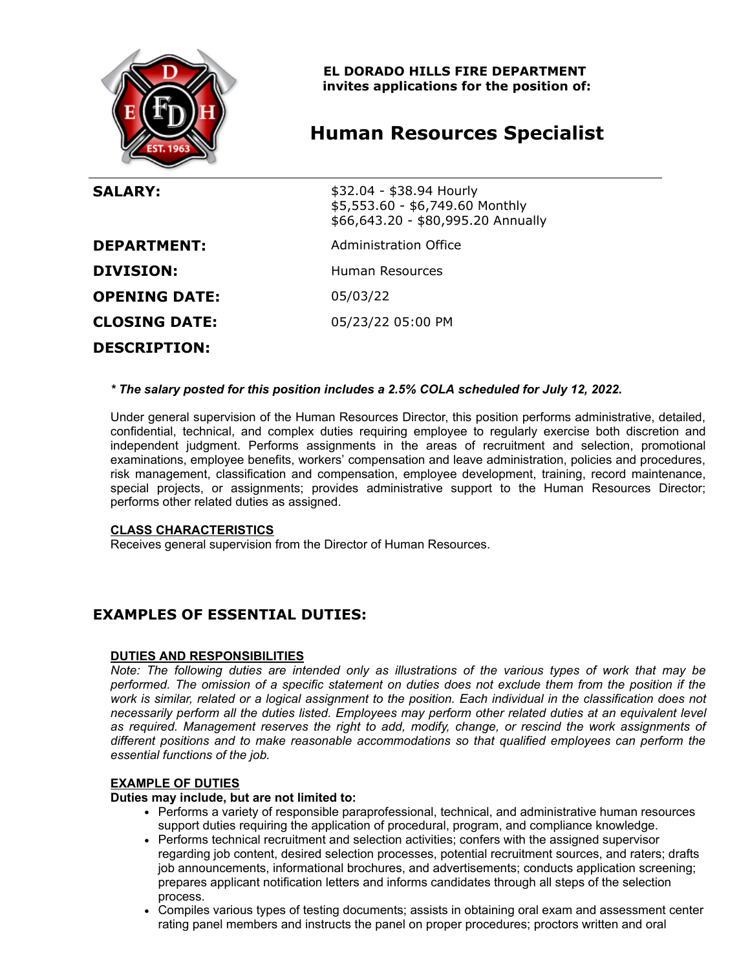

**EL DORADO HILLS FIRE DEPARTMENT invites applications for the position of:**

# **Human Resources Specialist**

| <b>SALARY:</b>       | \$32.04 - \$38.94 Hourly<br>\$5,553.60 - \$6,749.60 Monthly<br>\$66,643.20 - \$80,995.20 Annually |
|----------------------|---------------------------------------------------------------------------------------------------|
| <b>DEPARTMENT:</b>   | Administration Office                                                                             |
| <b>DIVISION:</b>     | Human Resources                                                                                   |
| <b>OPENING DATE:</b> | 05/03/22                                                                                          |
| <b>CLOSING DATE:</b> | 05/23/22 05:00 PM                                                                                 |
| <b>DESCRIPTION:</b>  |                                                                                                   |

#### *\* The salary posted for this position includes a 2.5% COLA scheduled for July 12, 2022.*

Under general supervision of the Human Resources Director, this position performs administrative, detailed, confidential, technical, and complex duties requiring employee to regularly exercise both discretion and independent judgment. Performs assignments in the areas of recruitment and selection, promotional examinations, employee benefits, workers' compensation and leave administration, policies and procedures, risk management, classification and compensation, employee development, training, record maintenance, special projects, or assignments; provides administrative support to the Human Resources Director; performs other related duties as assigned.

#### **CLASS CHARACTERISTICS**

Receives general supervision from the Director of Human Resources.

# **EXAMPLES OF ESSENTIAL DUTIES:**

#### **DUTIES AND RESPONSIBILITIES**

*Note: The following duties are intended only as illustrations of the various types of work that may be performed. The omission of a specific statement on duties does not exclude them from the position if the work is similar, related or a logical assignment to the position. Each individual in the classification does not necessarily perform all the duties listed. Employees may perform other related duties at an equivalent level as required. Management reserves the right to add, modify, change, or rescind the work assignments of different positions and to make reasonable accommodations so that qualified employees can perform the essential functions of the job.*

#### **EXAMPLE OF DUTIES**

#### **Duties may include, but are not limited to:**

- Performs a variety of responsible paraprofessional, technical, and administrative human resources support duties requiring the application of procedural, program, and compliance knowledge.
- Performs technical recruitment and selection activities; confers with the assigned supervisor regarding job content, desired selection processes, potential recruitment sources, and raters; drafts job announcements, informational brochures, and advertisements; conducts application screening; prepares applicant notification letters and informs candidates through all steps of the selection process.
- Compiles various types of testing documents; assists in obtaining oral exam and assessment center rating panel members and instructs the panel on proper procedures; proctors written and oral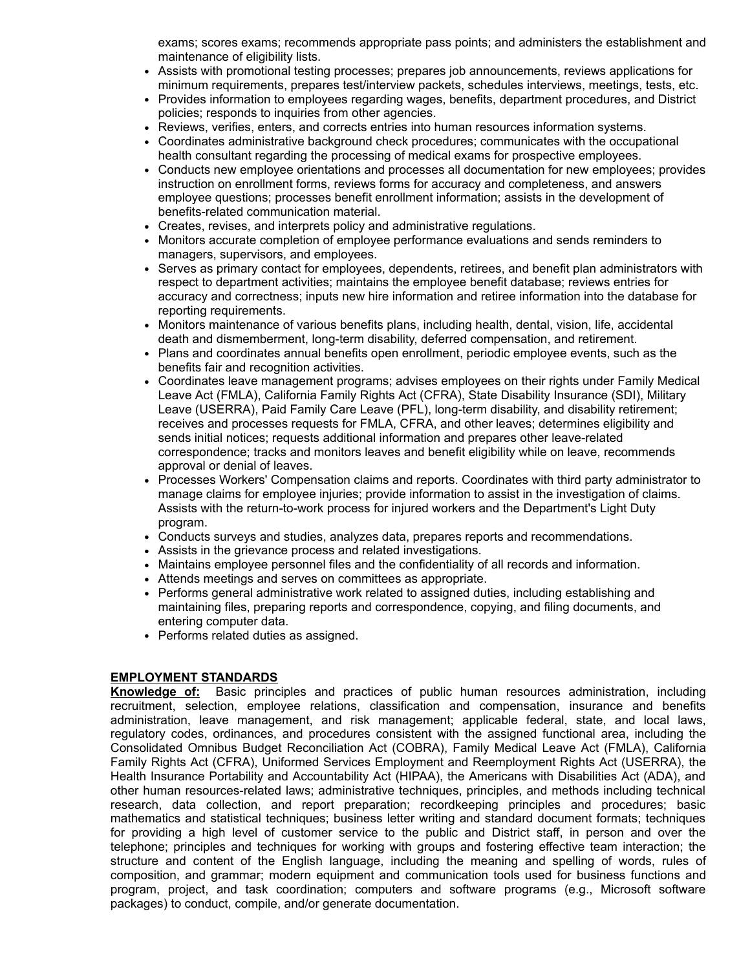exams; scores exams; recommends appropriate pass points; and administers the establishment and maintenance of eligibility lists.

- Assists with promotional testing processes; prepares job announcements, reviews applications for minimum requirements, prepares test/interview packets, schedules interviews, meetings, tests, etc.
- Provides information to employees regarding wages, benefits, department procedures, and District policies; responds to inquiries from other agencies.
- Reviews, verifies, enters, and corrects entries into human resources information systems.
- Coordinates administrative background check procedures; communicates with the occupational health consultant regarding the processing of medical exams for prospective employees.
- Conducts new employee orientations and processes all documentation for new employees; provides instruction on enrollment forms, reviews forms for accuracy and completeness, and answers employee questions; processes benefit enrollment information; assists in the development of benefits-related communication material.
- Creates, revises, and interprets policy and administrative regulations.
- Monitors accurate completion of employee performance evaluations and sends reminders to managers, supervisors, and employees.
- Serves as primary contact for employees, dependents, retirees, and benefit plan administrators with respect to department activities; maintains the employee benefit database; reviews entries for accuracy and correctness; inputs new hire information and retiree information into the database for reporting requirements.
- Monitors maintenance of various benefits plans, including health, dental, vision, life, accidental death and dismemberment, long-term disability, deferred compensation, and retirement.
- Plans and coordinates annual benefits open enrollment, periodic employee events, such as the benefits fair and recognition activities.
- Coordinates leave management programs; advises employees on their rights under Family Medical Leave Act (FMLA), California Family Rights Act (CFRA), State Disability Insurance (SDI), Military Leave (USERRA), Paid Family Care Leave (PFL), long-term disability, and disability retirement; receives and processes requests for FMLA, CFRA, and other leaves; determines eligibility and sends initial notices; requests additional information and prepares other leave-related correspondence; tracks and monitors leaves and benefit eligibility while on leave, recommends approval or denial of leaves.
- Processes Workers' Compensation claims and reports. Coordinates with third party administrator to manage claims for employee injuries; provide information to assist in the investigation of claims. Assists with the return-to-work process for injured workers and the Department's Light Duty program.
- Conducts surveys and studies, analyzes data, prepares reports and recommendations.
- Assists in the grievance process and related investigations.
- Maintains employee personnel files and the confidentiality of all records and information.
- Attends meetings and serves on committees as appropriate.
- Performs general administrative work related to assigned duties, including establishing and maintaining files, preparing reports and correspondence, copying, and filing documents, and entering computer data.
- Performs related duties as assigned.

#### **EMPLOYMENT STANDARDS**

**Knowledge of:** Basic principles and practices of public human resources administration, including recruitment, selection, employee relations, classification and compensation, insurance and benefits administration, leave management, and risk management; applicable federal, state, and local laws, regulatory codes, ordinances, and procedures consistent with the assigned functional area, including the Consolidated Omnibus Budget Reconciliation Act (COBRA), Family Medical Leave Act (FMLA), California Family Rights Act (CFRA), Uniformed Services Employment and Reemployment Rights Act (USERRA), the Health Insurance Portability and Accountability Act (HIPAA), the Americans with Disabilities Act (ADA), and other human resources-related laws; administrative techniques, principles, and methods including technical research, data collection, and report preparation; recordkeeping principles and procedures; basic mathematics and statistical techniques; business letter writing and standard document formats; techniques for providing a high level of customer service to the public and District staff, in person and over the telephone; principles and techniques for working with groups and fostering effective team interaction; the structure and content of the English language, including the meaning and spelling of words, rules of composition, and grammar; modern equipment and communication tools used for business functions and program, project, and task coordination; computers and software programs (e.g., Microsoft software packages) to conduct, compile, and/or generate documentation.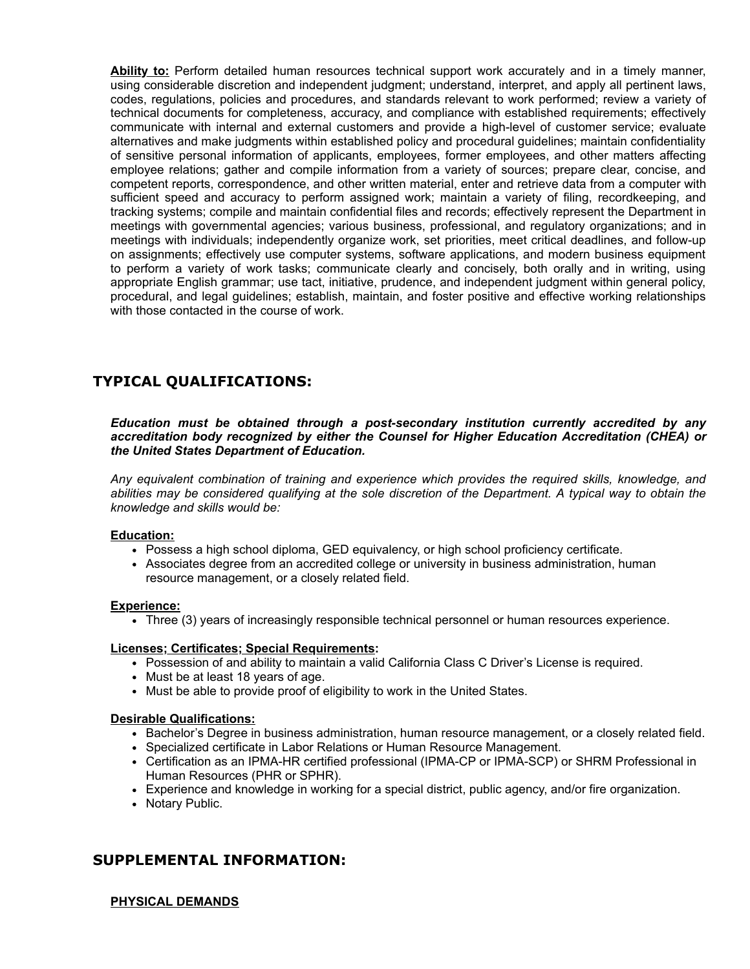**Ability to:** Perform detailed human resources technical support work accurately and in a timely manner, using considerable discretion and independent judgment; understand, interpret, and apply all pertinent laws, codes, regulations, policies and procedures, and standards relevant to work performed; review a variety of technical documents for completeness, accuracy, and compliance with established requirements; effectively communicate with internal and external customers and provide a high-level of customer service; evaluate alternatives and make judgments within established policy and procedural guidelines; maintain confidentiality of sensitive personal information of applicants, employees, former employees, and other matters affecting employee relations; gather and compile information from a variety of sources; prepare clear, concise, and competent reports, correspondence, and other written material, enter and retrieve data from a computer with sufficient speed and accuracy to perform assigned work; maintain a variety of filing, recordkeeping, and tracking systems; compile and maintain confidential files and records; effectively represent the Department in meetings with governmental agencies; various business, professional, and regulatory organizations; and in meetings with individuals; independently organize work, set priorities, meet critical deadlines, and follow-up on assignments; effectively use computer systems, software applications, and modern business equipment to perform a variety of work tasks; communicate clearly and concisely, both orally and in writing, using appropriate English grammar; use tact, initiative, prudence, and independent judgment within general policy, procedural, and legal guidelines; establish, maintain, and foster positive and effective working relationships with those contacted in the course of work.

# **TYPICAL QUALIFICATIONS:**

*Education must be obtained through a post-secondary institution currently accredited by any accreditation body recognized by either the Counsel for Higher Education Accreditation (CHEA) or the United States Department of Education.*

*Any equivalent combination of training and experience which provides the required skills, knowledge, and abilities may be considered qualifying at the sole discretion of the Department. A typical way to obtain the knowledge and skills would be:*

#### **Education:**

- Possess a high school diploma, GED equivalency, or high school proficiency certificate.
- Associates degree from an accredited college or university in business administration, human resource management, or a closely related field.

#### **Experience:**

Three (3) years of increasingly responsible technical personnel or human resources experience.

#### **Licenses; Certificates; Special Requirements:**

- Possession of and ability to maintain a valid California Class C Driver's License is required.
- Must be at least 18 years of age.
- Must be able to provide proof of eligibility to work in the United States.

## **Desirable Qualifications:**

- Bachelor's Degree in business administration, human resource management, or a closely related field.
- Specialized certificate in Labor Relations or Human Resource Management.
- Certification as an IPMA-HR certified professional (IPMA-CP or IPMA-SCP) or SHRM Professional in Human Resources (PHR or SPHR).
- Experience and knowledge in working for a special district, public agency, and/or fire organization.
- Notary Public.

# **SUPPLEMENTAL INFORMATION:**

## **PHYSICAL DEMANDS**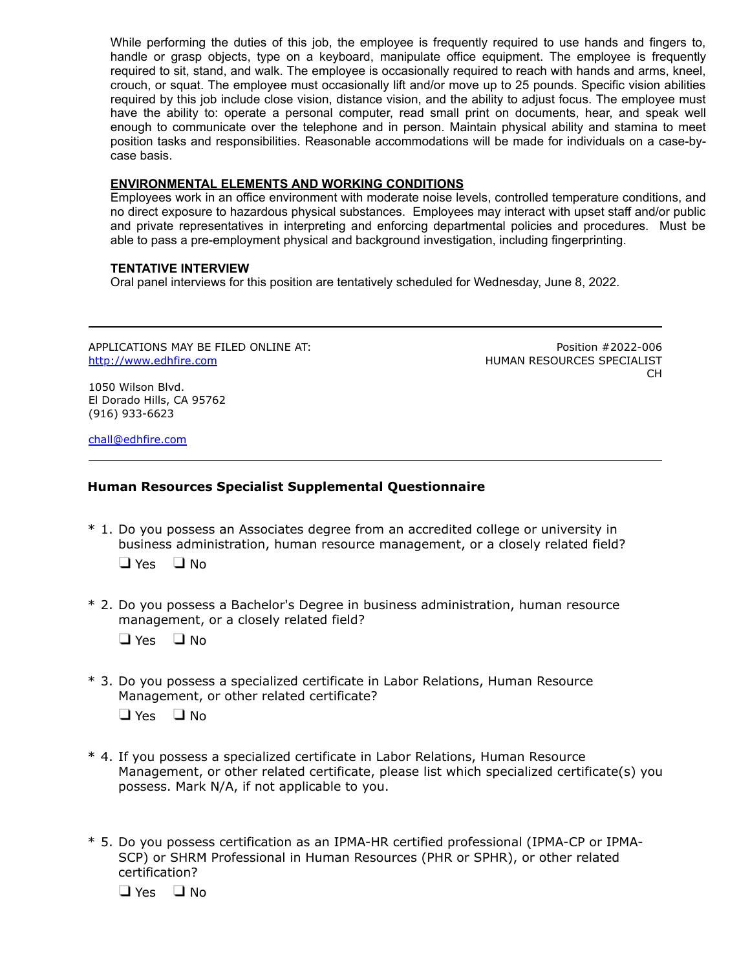While performing the duties of this job, the employee is frequently required to use hands and fingers to, handle or grasp objects, type on a keyboard, manipulate office equipment. The employee is frequently required to sit, stand, and walk. The employee is occasionally required to reach with hands and arms, kneel, crouch, or squat. The employee must occasionally lift and/or move up to 25 pounds. Specific vision abilities required by this job include close vision, distance vision, and the ability to adjust focus. The employee must have the ability to: operate a personal computer, read small print on documents, hear, and speak well enough to communicate over the telephone and in person. Maintain physical ability and stamina to meet position tasks and responsibilities. Reasonable accommodations will be made for individuals on a case-bycase basis.

### **ENVIRONMENTAL ELEMENTS AND WORKING CONDITIONS**

Employees work in an office environment with moderate noise levels, controlled temperature conditions, and no direct exposure to hazardous physical substances. Employees may interact with upset staff and/or public and private representatives in interpreting and enforcing departmental policies and procedures. Must be able to pass a pre-employment physical and background investigation, including fingerprinting.

## **TENTATIVE INTERVIEW**

Oral panel interviews for this position are tentatively scheduled for Wednesday, June 8, 2022.

APPLICATIONS MAY BE FILED ONLINE AT: [http://www.edhfire.com](http://www.edhfire.com/)

Position #2022-006 HUMAN RESOURCES SPECIALIST CH

1050 Wilson Blvd. El Dorado Hills, CA 95762 (916) 933-6623

[chall@edhfire.com](mailto:chall@edhfire.com)

# **Human Resources Specialist Supplemental Questionnaire**

- \* 1. Do you possess an Associates degree from an accredited college or university in business administration, human resource management, or a closely related field?  $\Box$  Yes  $\Box$  No
- \* 2. Do you possess a Bachelor's Degree in business administration, human resource management, or a closely related field?
	- $\Box$  Yes  $\Box$  No
- \* 3. Do you possess a specialized certificate in Labor Relations, Human Resource Management, or other related certificate?

 $\Box$  Yes  $\Box$  No.

- \* 4. If you possess a specialized certificate in Labor Relations, Human Resource Management, or other related certificate, please list which specialized certificate(s) you possess. Mark N/A, if not applicable to you.
- \* 5. Do you possess certification as an IPMA-HR certified professional (IPMA-CP or IPMA-SCP) or SHRM Professional in Human Resources (PHR or SPHR), or other related certification?

 $\Box$  Yes  $\Box$  No